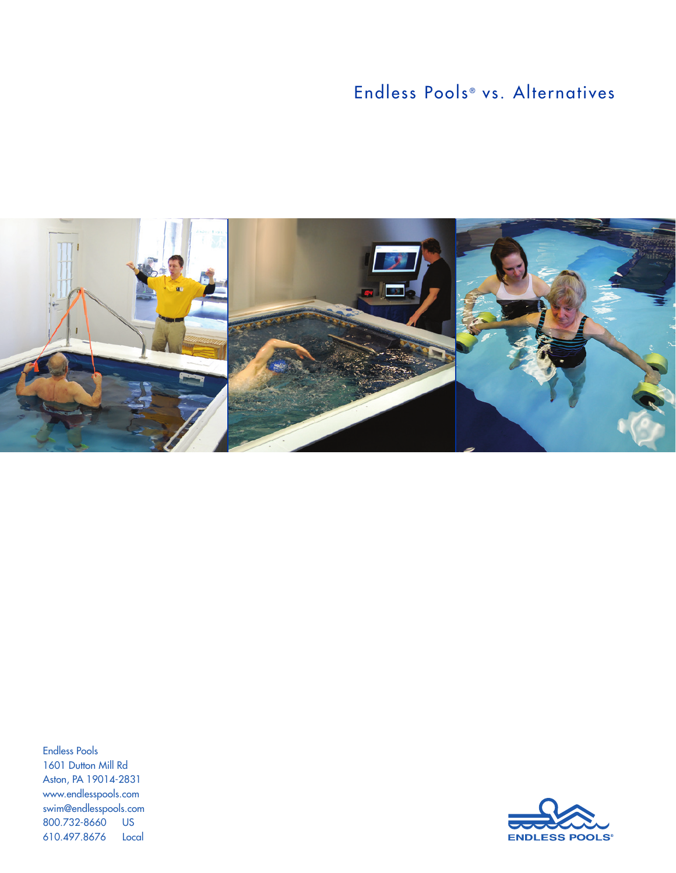# Endless Pools<sup>®</sup> vs. Alternatives



Endless Pools 1601 Dutton Mill Rd Aston, PA 19014-2831 www.endlesspools.com swim@endlesspools.com 800.732-8660 US 610.497.8676 Local

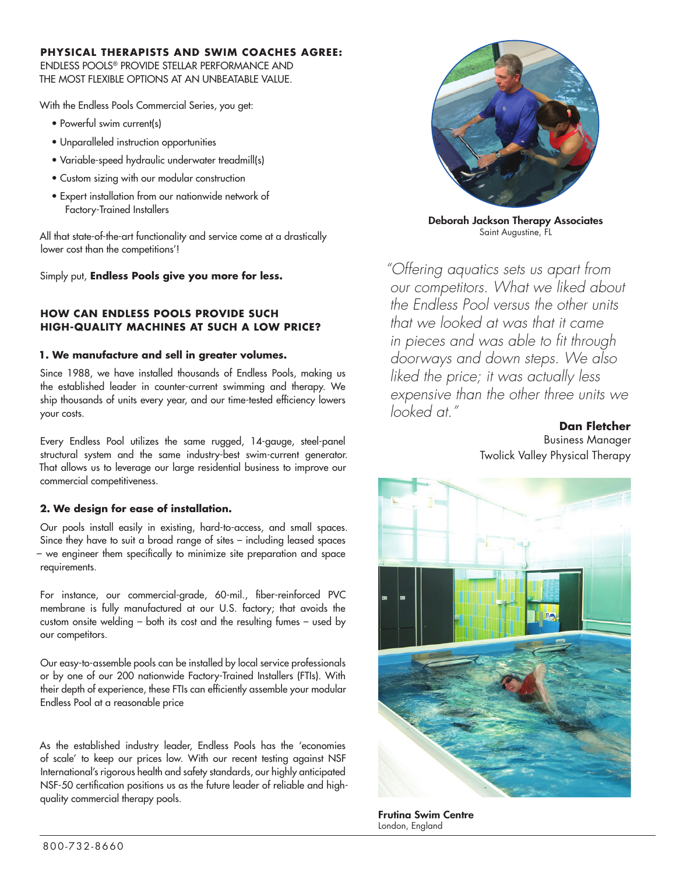## **PHYSICAL THERAPISTS AND SWIM COACHES AGREE:**

ENDLESS POOLS® PROVIDE STELLAR PERFORMANCE AND THE MOST FLEXIBLE OPTIONS AT AN UNBEATABLE VALUE.

With the Endless Pools Commercial Series, you get:

- Powerful swim current(s)
- Unparalleled instruction opportunities
- Variable-speed hydraulic underwater treadmill(s)
- Custom sizing with our modular construction
- Expert installation from our nationwide network of Factory-Trained Installers

All that state-of-the-art functionality and service come at a drastically lower cost than the competitions'!

Simply put, **Endless Pools give you more for less.**

## **HOW CAN ENDLESS POOLS PROVIDE SUCH HIGH-QUALITY MACHINES AT SUCH A LOW PRICE?**

## **1. We manufacture and sell in greater volumes.**

Since 1988, we have installed thousands of Endless Pools, making us the established leader in counter-current swimming and therapy. We ship thousands of units every year, and our time-tested efficiency lowers your costs.

Every Endless Pool utilizes the same rugged, 14-gauge, steel-panel structural system and the same industry-best swim-current generator. That allows us to leverage our large residential business to improve our commercial competitiveness.

## **2. We design for ease of installation.**

Our pools install easily in existing, hard-to-access, and small spaces. Since they have to suit a broad range of sites – including leased spaces – we engineer them specifically to minimize site preparation and space requirements.

For instance, our commercial-grade, 60-mil., fiber-reinforced PVC membrane is fully manufactured at our U.S. factory; that avoids the custom onsite welding – both its cost and the resulting fumes – used by our competitors.

Our easy-to-assemble pools can be installed by local service professionals or by one of our 200 nationwide Factory-Trained Installers (FTIs). With their depth of experience, these FTIs can efficiently assemble your modular Endless Pool at a reasonable price

As the established industry leader, Endless Pools has the 'economies of scale' to keep our prices low. With our recent testing against NSF International's rigorous health and safety standards, our highly anticipated NSF-50 certification positions us as the future leader of reliable and highquality commercial therapy pools.



Deborah Jackson Therapy Associates Saint Augustine, FL

*"Offering aquatics sets us apart from our competitors. What we liked about the Endless Pool versus the other units that we looked at was that it came in pieces and was able to fit through doorways and down steps. We also liked the price; it was actually less expensive than the other three units we looked at."* 

> **Dan Fletcher** Business Manager Twolick Valley Physical Therapy



Frutina Swim Centre London, England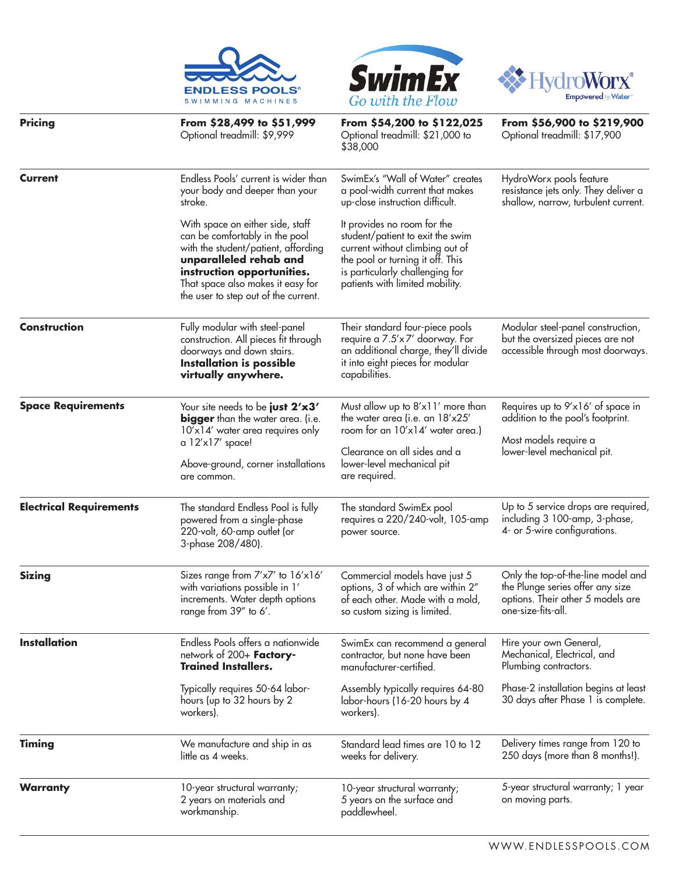





| <b>Pricing</b>                 | From \$28,499 to \$51,999<br>Optional treadmill: \$9,999                                                                                                                                                                                       | From \$54,200 to \$122,025<br>Optional treadmill: \$21,000 to<br>\$38,000                                                                                                                                    | From \$56,900 to \$219,900<br>Optional treadmill: \$17,900                                                                        |
|--------------------------------|------------------------------------------------------------------------------------------------------------------------------------------------------------------------------------------------------------------------------------------------|--------------------------------------------------------------------------------------------------------------------------------------------------------------------------------------------------------------|-----------------------------------------------------------------------------------------------------------------------------------|
| Current                        | Endless Pools' current is wider than<br>your body and deeper than your<br>stroke.                                                                                                                                                              | SwimEx's "Wall of Water" creates<br>a pool-width current that makes<br>up-close instruction difficult.                                                                                                       | HydroWorx pools feature<br>resistance jets only. They deliver a<br>shallow, narrow, turbulent current.                            |
|                                | With space on either side, staff<br>can be comfortably in the pool<br>with the student/patient, affording<br>unparalleled rehab and<br>instruction opportunities.<br>That space also makes it easy for<br>the user to step out of the current. | It provides no room for the<br>student/patient to exit the swim<br>current without climbing out of<br>the pool or turning it off. This<br>is particularly challenging for<br>patients with limited mobility. |                                                                                                                                   |
| <b>Construction</b>            | Fully modular with steel-panel<br>construction. All pieces fit through<br>doorways and down stairs.<br><b>Installation is possible</b><br>virtually anywhere.                                                                                  | Their standard four-piece pools<br>require a 7.5'x7' doorway. For<br>an additional charge, they'll divide<br>it into eight pieces for modular<br>capabilities.                                               | Modular steel-panel construction,<br>but the oversized pieces are not<br>accessible through most doorways.                        |
| <b>Space Requirements</b>      | Your site needs to be just 2'x3'<br>bigger than the water area. (i.e.<br>$10'$ x $14'$ water area requires only<br>a 12'x17' space!<br>Above-ground, corner installations<br>are common.                                                       | Must allow up to 8'x11' more than<br>the water area (i.e. an 18'x25'<br>room for an 10'x14' water area.)<br>Clearance on all sides and a<br>lower-level mechanical pit<br>are required.                      | Requires up to 9'x16' of space in<br>addition to the pool's footprint.<br>Most models require a<br>lower-level mechanical pit.    |
| <b>Electrical Requirements</b> | The standard Endless Pool is fully<br>powered from a single-phase<br>220-volt, 60-amp outlet (or<br>3-phase 208/480).                                                                                                                          | The standard SwimEx pool<br>requires a 220/240-volt, 105-amp<br>power source.                                                                                                                                | Up to 5 service drops are required,<br>including 3 100-amp, 3-phase,<br>4- or 5-wire configurations.                              |
| <b>Sizing</b>                  | Sizes range from 7'x7' to 16'x16'<br>with variations possible in 1'<br>increments. Water depth options<br>range from 39" to 6'.                                                                                                                | Commercial models have just 5<br>options, 3 of which are within 2"<br>of each other. Made with a mold,<br>so custom sizing is limited.                                                                       | Only the top-of-the-line model and<br>the Plunge series offer any size<br>options. Their other 5 models are<br>one-size-tits-all. |
| <b>Installation</b>            | Endless Pools offers a nationwide<br>network of 200+ Factory-<br><b>Trained Installers.</b>                                                                                                                                                    | SwimEx can recommend a general<br>contractor, but none have been<br>manufacturer-certified.                                                                                                                  | Hire your own General,<br>Mechanical, Electrical, and<br>Plumbing contractors.                                                    |
|                                | Typically requires 50-64 labor-<br>hours (up to 32 hours by 2<br>workers).                                                                                                                                                                     | Assembly typically requires 64-80<br>labor-hours (16-20 hours by 4<br>workers).                                                                                                                              | Phase-2 installation begins at least<br>30 days after Phase 1 is complete.                                                        |
| <b>Timing</b>                  | We manufacture and ship in as<br>little as 4 weeks.                                                                                                                                                                                            | Standard lead times are 10 to 12<br>weeks for delivery.                                                                                                                                                      | Delivery times range from 120 to<br>250 days (more than 8 months!).                                                               |
| Warranty                       | 10-year structural warranty;<br>2 years on materials and<br>workmanship.                                                                                                                                                                       | 10-year structural warranty;<br>5 years on the surface and<br>paddlewheel.                                                                                                                                   | 5-year structural warranty; 1 year<br>on moving parts.                                                                            |